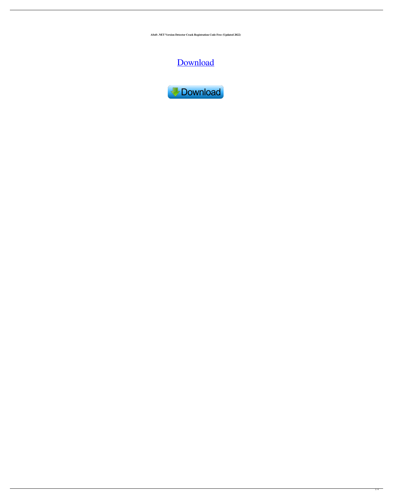**ASoft .NET Version Detector Crack Registration Code Free (Updated 2022)**

# [Download](http://evacdir.com/magnesic/mannered/flimsier/mcfarland/ZG93bmxvYWR8bnIzTTNZd00zeDhNVFkxTkRVeU1qRXhNSHg4TWpVNE4zeDhLRTBwSUVobGNtOXJkU0JiUm1GemRDQkhSVTVk/nami/snowmobile.QVNvZnQgLk5FVCBWZXJzaW9uIERldGVjdG9yQVN)



 $1/4$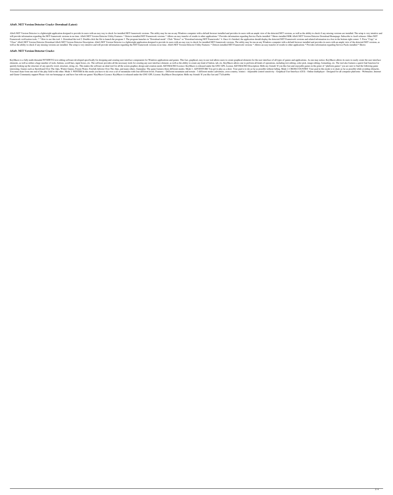### **ASoft .NET Version Detector Crack+ Download (Latest)**

ASoft.NET Version Detector is a lightweight application designed to provide its users with an easy way to check for installed.NET framework versions. The utility may be run on any Windows computer with a default browser in will provide information regarding the.NET framework versions in no time. ASoft.NET Version Detector Utility Features: \* Detects installed.NET Framework versions \* Allows an easy transfer of results to other applications \* Framework verification tools: \*\* How to use this tool: 1. Download the tool 2. Double-click the file to launch the program 3. The program launches in "Download mode". Click "Detect" or "Download missing.NET Frameworks" 4. "Close" ASoft.NET Version Detector Download ASoft.NET Version Detector Description: ASoft.NET Version Detector Description: ASoft.NET Version Detector is a lightweight application designed to provide its users with an easy well as the ability to check if any missing versions are installed. The setup is very intuitive and will provide information regarding the.NET framework versions in no time. ASoft.NET Version Detector Utility Features: \* D

#### **ASoft .NET Version Detector Crack+**

KeyMacro is a fully multi-threaded WYSIWYG text editing software developed specifically for designing and creating user interface components for Windows applications and games. This fast, graphical, easy-to-use tool allows elements, as well as utilize a huge number of tools, buttons, scroll bars, input boxes, etc. The software provides all the necessary tools for creating any user interface element, as well as the ability to create any kind quickly looking up the structure of any specific word, structure, string, etc. This makes the software an ideal tool for all the screen graphics design and creation needs. KEYMACRO License. KEYMACRO Description: Hello my f interesting. Games such as Snowboard Over The Alps, Winter Games, Frozen Water, Freefall, Infestor Over The Alps, and many others. Gameplay: The game features three different modes. Mode 1: ADVENTURE You get to play as a s You must skate from one end of the play field to the other. Mode 3: WINTER In this mode you have to ski over a set of mountains with four different levels. Features: - Different mountains and terrain - 3 different modes (a and Game Community support Please visit our homepage at: and have fun with our games! KeyMacro Licence: KeyMacro is released under the GNU GPL License. KeyMacro Description: Hello my friends! If you like fast and 77a5ca646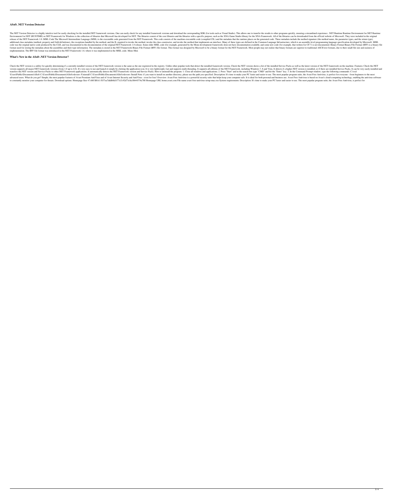### **ASoft .NET Version Detector**

The.NET Version Detector is a highly intuitive tool for easily checking for the installed.NET framework versions. One can easily check for any installed framework versions and download the corresponding SDK (for tools such Environment for.NET (RUNTIME) or.NET Framework for Windows is the collection of libraries that Microsoft has developed for.NET. The libraries consist of the core libraries and the libraries with a specific purpose, such as release of the.NET Framework 1.0. MSIL Code The Microsoft Intermediate Language (MSIL) is the executable code generated from the.NET Framework. This code consists of the machine-executable code (compiled CIL) and the metad additional class metadata (method, property and field definitions), the exceptions handled by the method, and the IL required to invoke the method, invoke the method that implements an interface. Many of these types are de code was the original native code produced by the CLR, and was documented in the documented in the documentation of the original.NET Framework 1.0 release. Some older MSIL code (for example, generated by the Mono developme format used for storing the metadata about the assemblies and their type information. The metadata is stored in the.NET Framework Binary File Format. This format was designed by Microsoft to be a binary format for the.NET implementation. The BFF file format was introduced in the.NET Framework 1.0, where it was implemented in the MSIL code. Mono Mon

#### **What's New in the ASoft .NET Version Detector?**

Check the.NET version is a utility for quickly determining if a currently installed version of the.NET framework version is the same as the one registered in the registry. Unlike other popular tools that detect the install version supports all major.NET framework versions (from 1.0 up to 4.0). It's very easy to use and launch it simply by clicking the application icon. It is very lightweight, fast and supports all editions of the.NET Framewo transfers the.NET version and Service Packs to other.NET Framework applications. It automatically detects the.NET Framework version and Service Packs. How to uninstall the program: 1. Close all windows and applications. 2. Users\Public\Documents\ASoft C:\Users\Public\Documents\ASoft>devenv /Uninstall C:\Users\Public\Documents\ASoft>devenv /Uninstall C:\Users\Public\Documents\ASoft>devenv /Install Note: if you want to install on another direc advanced users. What do you get? Simple, the most popular features of Avast Premium AntiVirus and of Avast Internet Security and AntiVirus - even for free! Overview: Avast Free Antivirus is a powerful security suite that h to constantly monitor your computer for threats. Download options: Homepage Size 47.6M SHA1 f837ea7dddb8d1f77a7c92d73c8a18b44574a788 Homepage URL home.avast.com File name avast-free-antivirus-setup-mac.exe System requireme